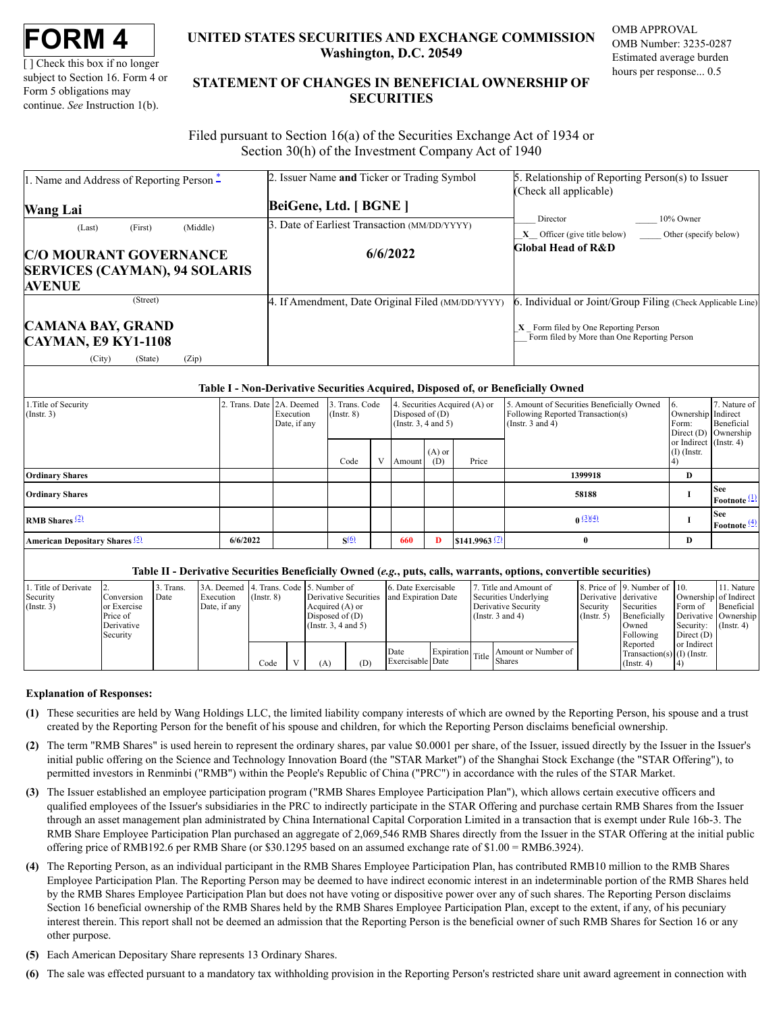| FORM |  |
|------|--|
|------|--|

[ ] Check this box if no longer subject to Section 16. Form 4 or Form 5 obligations may continue. *See* Instruction 1(b).

# **UNITED STATES SECURITIES AND EXCHANGE COMMISSION Washington, D.C. 20549**

OMB APPROVAL OMB Number: 3235-0287 Estimated average burden hours per response... 0.5

# **STATEMENT OF CHANGES IN BENEFICIAL OWNERSHIP OF SECURITIES**

Filed pursuant to Section 16(a) of the Securities Exchange Act of 1934 or Section 30(h) of the Investment Company Act of 1940

| 1. Name and Address of Reporting Person $*$            | 2. Issuer Name and Ticker or Trading Symbol       | 5. Relationship of Reporting Person(s) to Issuer                                   |
|--------------------------------------------------------|---------------------------------------------------|------------------------------------------------------------------------------------|
|                                                        |                                                   | (Check all applicable)                                                             |
| <b>Wang Lai</b>                                        | BeiGene, Ltd. [ BGNE ]                            |                                                                                    |
| (Middle)<br>(First)<br>(Last)                          | 3. Date of Earliest Transaction (MM/DD/YYYY)      | 10% Owner<br>Director                                                              |
|                                                        |                                                   | $X$ Officer (give title below) Other (specify below)                               |
| <b>C/O MOURANT GOVERNANCE</b>                          | 6/6/2022                                          | <b>Global Head of R&amp;D</b>                                                      |
| <b>SERVICES (CAYMAN), 94 SOLARIS</b>                   |                                                   |                                                                                    |
| <b>AVENUE</b>                                          |                                                   |                                                                                    |
| (Street)                                               | 4. If Amendment, Date Original Filed (MM/DD/YYYY) | 6. Individual or Joint/Group Filing (Check Applicable Line)                        |
| <b>CAMANA BAY, GRAND</b><br><b>CAYMAN, E9 KY1-1108</b> |                                                   | Form filed by One Reporting Person<br>Form filed by More than One Reporting Person |
| (City)<br>(Zip)<br>(State)                             |                                                   |                                                                                    |

### **Table I - Non-Derivative Securities Acquired, Disposed of, or Beneficially Owned**

| 1. Title of Security<br>$($ Instr. 3 $)$         |          | Trans. Date 2A. Deemed<br>Execution<br>Date, if any | 3. Trans. Code<br>$($ Instr. $8)$ |              | 4. Securities Acquired (A) or<br>Disposed of $(D)$<br>(Instr. $3, 4$ and $5$ ) |                 |                           | 5. Amount of Securities Beneficially Owned<br>Following Reported Transaction(s)<br>(Instr. $3$ and $4$ ) | Ownership Indirect<br>Form:             | 7. Nature of<br>Beneficial<br>Direct $(D)$ Ownership |
|--------------------------------------------------|----------|-----------------------------------------------------|-----------------------------------|--------------|--------------------------------------------------------------------------------|-----------------|---------------------------|----------------------------------------------------------------------------------------------------------|-----------------------------------------|------------------------------------------------------|
|                                                  |          |                                                     | Code                              | $\mathbf{V}$ | Amount                                                                         | $(A)$ or<br>(D) | Price                     |                                                                                                          | or Indirect (Instr. 4)<br>$(I)$ (Instr. |                                                      |
| <b>Ordinary Shares</b>                           |          |                                                     |                                   |              |                                                                                |                 |                           | 1399918                                                                                                  | D                                       |                                                      |
| <b>Ordinary Shares</b>                           |          |                                                     |                                   |              |                                                                                |                 |                           | 58188                                                                                                    |                                         | <b>See</b><br>Footnote $(1)$                         |
| <b>RMB</b> Shares $\frac{2}{2}$                  |          |                                                     |                                   |              |                                                                                |                 |                           | $0 \frac{(3)(4)}{2}$                                                                                     |                                         | <b>See</b><br>Footnote $\frac{(4)}{2}$               |
| <b>American Depositary Shares</b> <sup>(5)</sup> | 6/6/2022 |                                                     | S(6)                              |              | 660                                                                            | D               | \$141.9963 <sup>(7)</sup> | $\mathbf{0}$                                                                                             | D                                       |                                                      |

## **Table II - Derivative Securities Beneficially Owned (***e.g.***, puts, calls, warrants, options, convertible securities)**

| Title of Derivate<br>Security<br>$($ Instr. 3) | <b>Conversion</b><br>or Exercise<br>Price of<br>Derivative<br>Security | Trans.<br>Date | 3A. Deemed 4. Trans. Code 5. Number of<br>Execution<br>Date, if any | $($ Instr. $8)$ | Derivative Securities<br>Acquired (A) or<br>Disposed of $(D)$<br>(Instr. 3, 4 and 5) |     | 6. Date Exercisable<br>and Expiration Date |  | 7. Title and Amount of<br>Securities Underlying<br>Derivative Security<br>(Instr. $3$ and $4$ ) | 8. Price of 19. Number of 10.<br>Derivative derivative<br>Securities<br>Security<br>Beneficially<br>$($ Instr. 5 $)$<br>Owned<br>Following |                                                              | Ownership of Indirect<br>Form of<br>Derivative   Ownership<br>Security:<br>Direct $(D)$ | 11. Nature<br>Beneficial<br>$($ Instr. 4 $)$ |
|------------------------------------------------|------------------------------------------------------------------------|----------------|---------------------------------------------------------------------|-----------------|--------------------------------------------------------------------------------------|-----|--------------------------------------------|--|-------------------------------------------------------------------------------------------------|--------------------------------------------------------------------------------------------------------------------------------------------|--------------------------------------------------------------|-----------------------------------------------------------------------------------------|----------------------------------------------|
|                                                |                                                                        |                |                                                                     | Code            | (A)                                                                                  | (D) | Date<br>Exercisable Date                   |  | Expiration Title Shares<br>Amount or Number of                                                  |                                                                                                                                            | Reported<br>Transaction(s) $(I)$ (Instr.<br>$($ Instr. 4 $)$ | or Indirect                                                                             |                                              |

# **Explanation of Responses:**

- <span id="page-0-0"></span>**(1)** These securities are held by Wang Holdings LLC, the limited liability company interests of which are owned by the Reporting Person, his spouse and a trust created by the Reporting Person for the benefit of his spouse and children, for which the Reporting Person disclaims beneficial ownership.
- <span id="page-0-1"></span>**(2)** The term "RMB Shares" is used herein to represent the ordinary shares, par value \$0.0001 per share, of the Issuer, issued directly by the Issuer in the Issuer's initial public offering on the Science and Technology Innovation Board (the "STAR Market") of the Shanghai Stock Exchange (the "STAR Offering"), to permitted investors in Renminbi ("RMB") within the People's Republic of China ("PRC") in accordance with the rules of the STAR Market.
- <span id="page-0-2"></span>**(3)** The Issuer established an employee participation program ("RMB Shares Employee Participation Plan"), which allows certain executive officers and qualified employees of the Issuer's subsidiaries in the PRC to indirectly participate in the STAR Offering and purchase certain RMB Shares from the Issuer through an asset management plan administrated by China International Capital Corporation Limited in a transaction that is exempt under Rule 16b-3. The RMB Share Employee Participation Plan purchased an aggregate of 2,069,546 RMB Shares directly from the Issuer in the STAR Offering at the initial public offering price of RMB192.6 per RMB Share (or \$30.1295 based on an assumed exchange rate of \$1.00 = RMB6.3924).
- <span id="page-0-3"></span>**(4)** The Reporting Person, as an individual participant in the RMB Shares Employee Participation Plan, has contributed RMB10 million to the RMB Shares Employee Participation Plan. The Reporting Person may be deemed to have indirect economic interest in an indeterminable portion of the RMB Shares held by the RMB Shares Employee Participation Plan but does not have voting or dispositive power over any of such shares. The Reporting Person disclaims Section 16 beneficial ownership of the RMB Shares held by the RMB Shares Employee Participation Plan, except to the extent, if any, of his pecuniary interest therein. This report shall not be deemed an admission that the Reporting Person is the beneficial owner of such RMB Shares for Section 16 or any other purpose.
- <span id="page-0-4"></span>**(5)** Each American Depositary Share represents 13 Ordinary Shares.
- <span id="page-0-5"></span>**(6)** The sale was effected pursuant to a mandatory tax withholding provision in the Reporting Person's restricted share unit award agreement in connection with